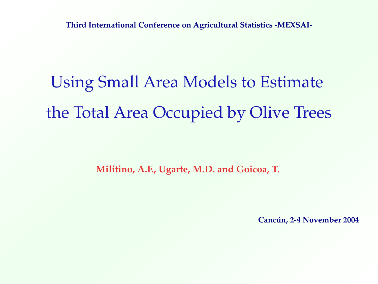# Using Small Area Models to Estimate the Total Area Occupied by Olive Trees

**Militino, A.F., Ugarte, M.D. and Goicoa, T.**

**Cancún, 2-4 November 2004**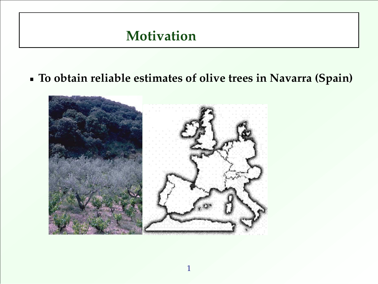### **Motivation**

**1.**

**To obtain reliable estimates of olive trees in Navarra (Spain)**

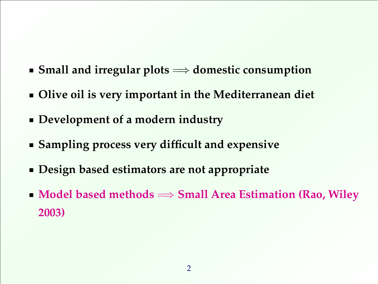- **Small and irregular plots** =⇒ **domestic consumption**
- **Olive oil is very important in the Mediterranean diet**
- **Development of a modern industry**
- **Sampling process very difficult and expensive**
- **Design based estimators are not appropriate**
- **Model based methods**  $\Rightarrow$  **Small Area Estimation (Rao, Wiley 2003)**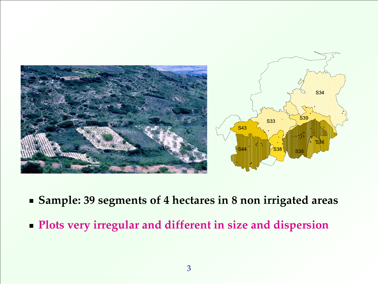

- **Sample: 39 segments of 4 hectares in 8 non irrigated areas**
- **Plots very irregular and different in size and dispersion**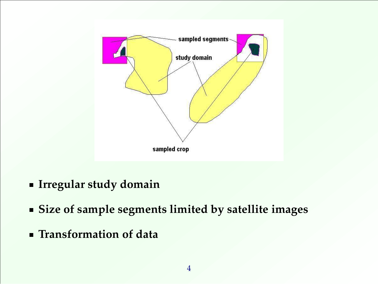

- **Irregular study domain**
- **Size of sample segments limited by satellite images**
- **Transformation of data**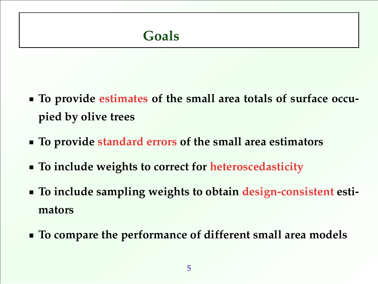### **Goals**

- **To provide estimates of the small area totals of surface occupied by olive trees**
- **To provide standard errors of the small area estimators**
- **To include weights to correct for heteroscedasticity**
- **To include sampling weights to obtain design-consistent estimators**
- **To compare the performance of different small area models**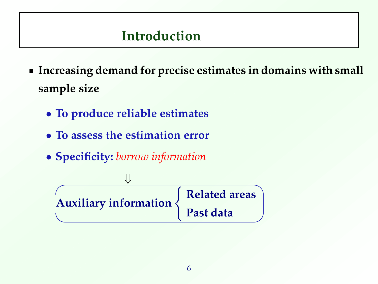### **Introduction**

- **Increasing demand for precise estimates in domains with small sample size**
	- **To produce reliable estimates**

- **To assess the estimation error**
- **Specificity:** *borrow information*

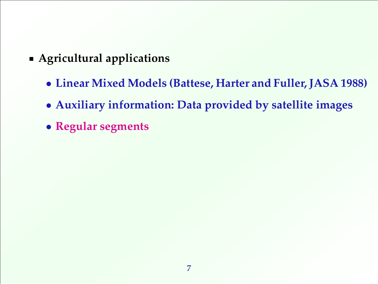- **Agricultural applications**
	- **Linear Mixed Models (Battese, Harter and Fuller, JASA 1988)**
	- **Auxiliary information: Data provided by satellite images**
	- **Regular segments**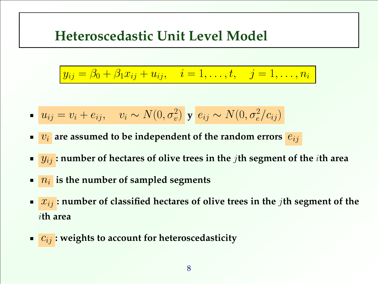### **Heteroscedastic Unit Level Model**

$$
y_{ij} = \beta_0 + \beta_1 x_{ij} + u_{ij}, \quad i = 1, ..., t, \quad j = 1, ..., n_i
$$

$$
\bullet \quad u_{ij} = v_i + e_{ij}, \quad v_i \sim N(0, \sigma_v^2) \quad \mathbf{y} \quad e_{ij} \sim N(0, \sigma_e^2/c_{ij})
$$

- $v_i$  are assumed to be independent of the random errors  $e_{ij}$
- yij **: number of hectares of olive trees in the** j**th segment of the** i**th area**
- $\overline{n_i}$  is the number of sampled segments

- xij **: number of classified hectares of olive trees in the** j**th segment of the** i**th area**
- $\bullet$   $c_{ij}$ : weights to account for heteroscedasticity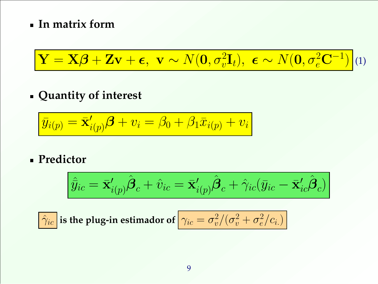#### <span id="page-9-0"></span>**In matrix form**

$$
\mathbf{Y} = \mathbf{X}\boldsymbol{\beta} + \mathbf{Z}\mathbf{v} + \boldsymbol{\epsilon}, \ \mathbf{v} \sim N(\mathbf{0}, \sigma_v^2 \mathbf{I}_t), \ \boldsymbol{\epsilon} \sim N(\mathbf{0}, \sigma_e^2 \mathbf{C}^{-1})
$$
 (1)

### **Quantity of interest**

$$
\bar{y}_{i(p)} = \bar{\mathbf{x}}'_{i(p)}\boldsymbol{\beta} + v_i = \beta_0 + \beta_1 \bar{x}_{i(p)} + v_i
$$

**Predictor**

$$
\hat{\bar{y}}_{ic} = \bar{\mathbf{x}}'_{i(p)}\hat{\boldsymbol{\beta}}_c + \hat{v}_{ic} = \bar{\mathbf{x}}'_{i(p)}\hat{\boldsymbol{\beta}}_c + \hat{\gamma}_{ic}(\bar{y}_{ic} - \bar{\mathbf{x}}'_{ic}\hat{\boldsymbol{\beta}}_c)
$$

$$
\hat{\gamma}_{ic} \text{ is the plug-in estimator of } \left[ \gamma_{ic} = \sigma_v^2/(\sigma_v^2 + \sigma_e^2/c_{i.}) \right]
$$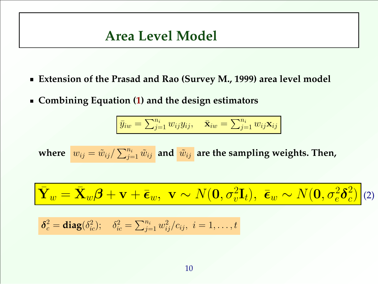### **Area Level Model**

- **Extension of the Prasad and Rao (Survey M., 1999) area level model**
- **Combining Equation [\(1\)](#page-9-0) and the design estimators**

<span id="page-10-0"></span>**5.**

$$
\bar{y}_{iw} = \sum_{j=1}^{n_i} w_{ij} y_{ij}, \quad \bar{\mathbf{x}}_{iw} = \sum_{j=1}^{n_i} w_{ij} \mathbf{x}_{ij}
$$

where  $\left|w_{ij}=\tilde{w}_{ij}/\sum_{j=1}^{n_i}\tilde{w}_{ij}\right|$  and  $\left|\tilde{w}_{ij}\right|$  are the sampling weights. Then,

Y¯ <sup>w</sup> = X¯ <sup>w</sup>β + v + ¯w, v ∼ N(0, σ<sup>2</sup> v It), ¯<sup>w</sup> ∼ N(0, σ<sup>2</sup> eδ 2 c ) (2)

$$
\delta_c^2 = \text{diag}(\delta_{ic}^2); \quad \delta_{ic}^2 = \sum_{j=1}^{n_i} w_{ij}^2 / c_{ij}, \quad i = 1, \ldots, t
$$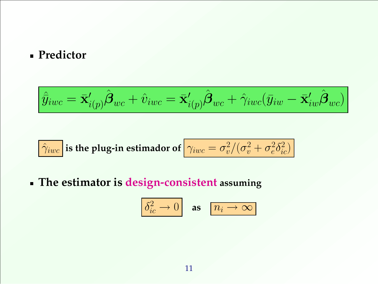#### **Predictor**

$$
\Big|\hat{\bar{y}}_{iwc}=\mathbf{\bar{x}}'_{i(p)}\hat{\boldsymbol{\beta}}_{wc}+\hat{v}_{iwc}=\mathbf{\bar{x}}'_{i(p)}\hat{\boldsymbol{\beta}}_{wc}+\hat{\gamma}_{iwc}(\bar{y}_{iw}-\mathbf{\bar{x}}'_{iw}\hat{\boldsymbol{\beta}}_{wc})\Big|
$$

$$
\hat{\gamma}_{iwc}
$$
 is the plug-in estimator of  $\gamma_{iwc} = \sigma_v^2/(\sigma_v^2 + \sigma_e^2 \delta_{ic}^2)$ 

**The estimator is design-consistent assuming**

$$
\boxed{\delta_{ic}^2 \to 0} \quad \text{as} \quad \boxed{n_i \to \infty}
$$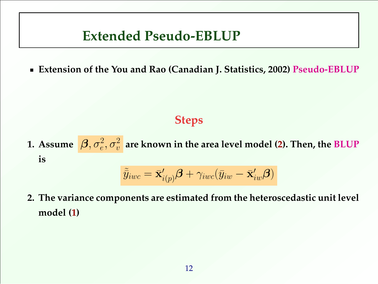### **Extended Pseudo-EBLUP**

**6.**

**Extension of the You and Rao (Canadian J. Statistics, 2002) Pseudo-EBLUP**

#### **Steps**

1. Assume  $\[\mathbf{\beta}, \sigma^2_e, \sigma^2_v\]$  are known in the area level model **[\(2\)](#page-10-0).** Then, the BLUP **is**

$$
\tilde{\bar{y}}_{iwc} = \bar{\mathbf{x}}'_{i(p)}\boldsymbol{\beta} + \gamma_{iwc}(\bar{y}_{iw} - \bar{\mathbf{x}}'_{iw}\boldsymbol{\beta})
$$

**2. The variance components are estimated from the heteroscedastic unit level model [\(1\)](#page-9-0)**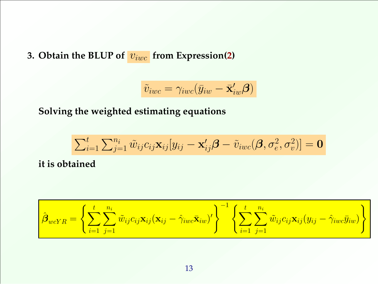**3. Obtain the BLUP of**  $v_{iwc}$  **from Expression[\(2\)](#page-10-0)** 

$$
\tilde{v}_{iwc} = \gamma_{iwc}(\bar{y}_{iw} - \bar{\mathbf{x}}'_{iw}\boldsymbol{\beta})
$$

**Solving the weighted estimating equations**

$$
\sum_{i=1}^t \sum_{j=1}^{n_i} \tilde{w}_{ij} c_{ij} \mathbf{x}_{ij} [y_{ij} - \mathbf{x}'_{ij} \boldsymbol{\beta} - \tilde{v}_{iwc}(\boldsymbol{\beta}, \sigma_e^2, \sigma_v^2)] = \mathbf{0}
$$

**it is obtained**

$$
\hat{\boldsymbol{\beta}}_{wcYR} = \left\{ \sum_{i=1}^t \sum_{j=1}^{n_i} \tilde{w}_{ij} c_{ij} \mathbf{x}_{ij} (\mathbf{x}_{ij} - \hat{\gamma}_{iwc} \bar{\mathbf{x}}_{iw})' \right\}^{-1} \left\{ \sum_{i=1}^t \sum_{j=1}^{n_i} \tilde{w}_{ij} c_{ij} \mathbf{x}_{ij} (y_{ij} - \hat{\gamma}_{iwc} \bar{y}_{iw}) \right\}
$$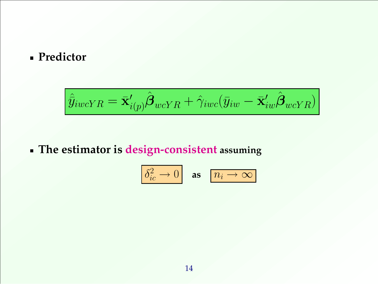#### **Predictor**

$$
\hat{\bar{y}}_{iwcYR} = \bar{\mathbf{x}}'_{i(p)}\hat{\boldsymbol{\beta}}_{wcYR} + \hat{\gamma}_{iwc}(\bar{y}_{iw} - \bar{\mathbf{x}}'_{iw}\hat{\boldsymbol{\beta}}_{wcYR})
$$

### **The estimator is design-consistent assuming**

$$
\boxed{\delta_{ic}^2 \to 0} \quad \text{as} \quad \boxed{n_i \to \infty}
$$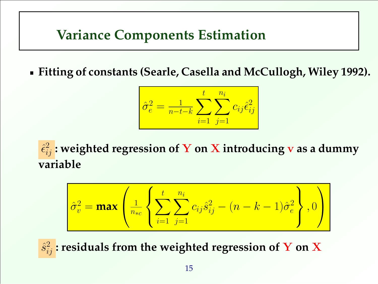### **Variance Components Estimation**

**7.**

**Fitting of constants (Searle, Casella and McCullogh, Wiley 1992).**

$$
\hat{\sigma}_e^2 = \frac{1}{n - t - k} \sum_{i=1}^t \sum_{j=1}^{n_i} c_{ij} \hat{\epsilon}_{ij}^2
$$

ˆ 2 ij **: weighted regression of** Y **on** X **introducing** v **as a dummy variable**

$$
\hat{\sigma}_v^2 = \max \left( \frac{1}{n_{*c}} \left\{ \sum_{i=1}^t \sum_{j=1}^{n_i} c_{ij} \hat{s}_{ij}^2 - (n-k-1) \hat{\sigma}_e^2 \right\}, 0 \right)
$$

 $\hat{s}_{ij}^2$ : residuals from the weighted regression of  $\mathbf Y$  on  $\mathbf X$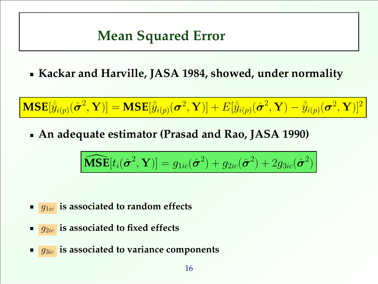### **Mean Squared Error**

**Kackar and Harville, JASA 1984, showed, under normality**

 $\textbf{MSE}[\hat{\bar{y}}_{i(p)}(\hat{\bm{\sigma}}^2, \mathbf{Y})] = \textbf{MSE}[\tilde{\bar{y}}_{i(p)}(\bm{\sigma}^2, \mathbf{Y})] + E[\hat{\bar{y}}_{i(p)}(\hat{\bm{\sigma}}^2, \mathbf{Y}) - \tilde{\bar{y}}_{i(p)}(\bm{\sigma}^2, \mathbf{Y})]^2$ 

**An adequate estimator (Prasad and Rao, JASA 1990)**

$$
\widehat{\textbf{MSE}}[t_i(\hat{\boldsymbol{\sigma}}^2, \mathbf{Y})] = g_{1ic}(\hat{\boldsymbol{\sigma}}^2) + g_{2ic}(\hat{\boldsymbol{\sigma}}^2) + 2g_{3ic}(\hat{\boldsymbol{\sigma}}^2)
$$

- **q**<sub>1ic</sub> is associated to random effects
- g2ic **is associated to fixed effects**

**8.**

**g**<sub>3ic</sub> is associated to variance components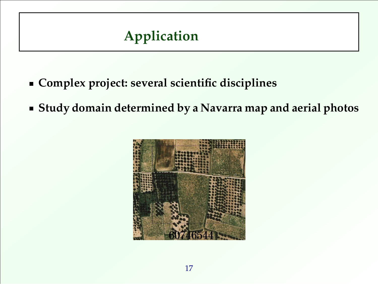## **Application**

- **Complex project: several scientific disciplines**
- **Study domain determined by a Navarra map and aerial photos**

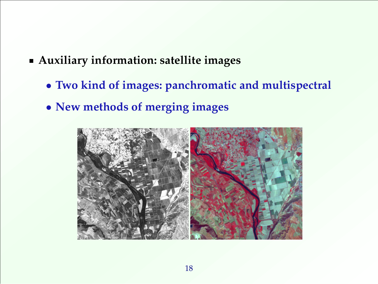- **Auxiliary information: satellite images**
	- **Two kind of images: panchromatic and multispectral**
	- **New methods of merging images**

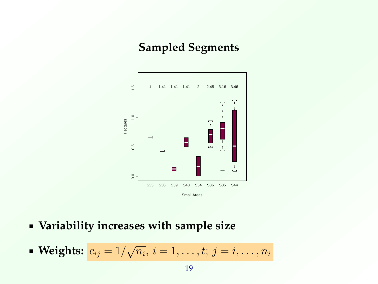### **Sampled Segments**



- **Variability increases with sample size**
- **Weights:**  $c_{ij} = 1/$ √  $\overline{n_i},\, i=1,\ldots,t;\, j=i,\ldots,n_i$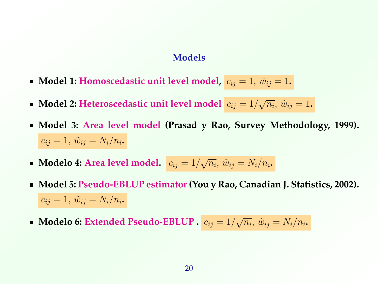#### **Models**

- **Model 1: Homoscedastic unit level model,**  $c_{ij} = 1$ ,  $\tilde{w}_{ij} = 1$ .
- **Model 2: Heteroscedastic unit level model**  $c_{ij} = 1/$ √  $\overline{n_i}, \, \tilde{w}_{ij} = 1$ **.**
- **Model 3: Area level model (Prasad y Rao, Survey Methodology, 1999).**  $c_{ij}=1,\,\tilde{w}_{ij}=N_i/n_i$ .
- **Modelo 4: Area level model.**  $\boxed{c_{ij} = 1/2}$ √  $\overline{n_i}, \, \tilde{w}_{ij} = N_i/n_i$ .
- **Model 5: Pseudo-EBLUP estimator(You y Rao, Canadian J. Statistics, 2002).**  $c_{ij} = 1, \, \tilde{w}_{ij} = N_i/n_i$ .
- **Modelo 6: Extended Pseudo-EBLUP .** cij = 1/ √  $\overline{n_i}, \, \tilde{w}_{ij} = N_i/n_i$ .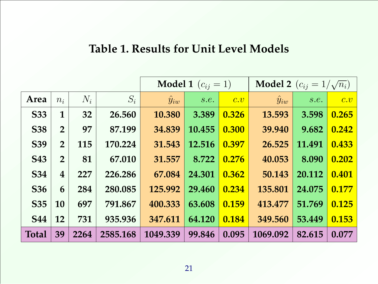#### **Table 1. Results for Unit Level Models**

|              |                |       | <b>Model 1</b> $(c_{ij} = 1)$ |                |        | <b>Model 2</b> $(c_{ij} = 1/\sqrt{n_i})$ |                |        |       |
|--------------|----------------|-------|-------------------------------|----------------|--------|------------------------------------------|----------------|--------|-------|
| Area         | $n_i$          | $N_i$ | $S_i$                         | $\hat{y}_{iw}$ | s.e.   | c.v                                      | $\hat{y}_{iw}$ | s.e.   | c.v   |
| <b>S33</b>   | $\mathbf{1}$   | 32    | 26.560                        | 10.380         | 3.389  | 0.326                                    | 13.593         | 3.598  | 0.265 |
| <b>S38</b>   | $\overline{2}$ | 97    | 87.199                        | 34.839         | 10.455 | 0.300                                    | 39.940         | 9.682  | 0.242 |
| <b>S39</b>   | $\overline{2}$ | 115   | 170.224                       | 31.543         | 12.516 | 0.397                                    | 26.525         | 11.491 | 0.433 |
| <b>S43</b>   | $\overline{2}$ | 81    | 67.010                        | 31.557         | 8.722  | 0.276                                    | 40.053         | 8.090  | 0.202 |
| <b>S34</b>   | $\overline{4}$ | 227   | 226.286                       | 67.084         | 24.301 | 0.362                                    | 50.143         | 20.112 | 0.401 |
| <b>S36</b>   | 6              | 284   | 280.085                       | 125.992        | 29.460 | 0.234                                    | 135.801        | 24.075 | 0.177 |
| <b>S35</b>   | 10             | 697   | 791.867                       | 400.333        | 63.608 | 0.159                                    | 413.477        | 51.769 | 0.125 |
| <b>S44</b>   | 12             | 731   | 935.936                       | 347.611        | 64.120 | 0.184                                    | 349.560        | 53.449 | 0.153 |
| <b>Total</b> | 39             | 2264  | 2585.168                      | 1049.339       | 99.846 | 0.095                                    | 1069.092       | 82.615 | 0.077 |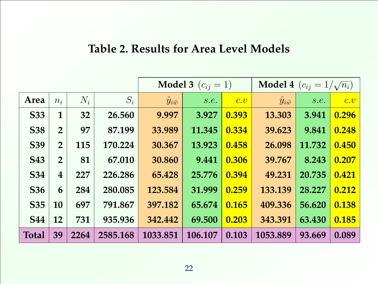#### **Table 2. Results for Area Level Models**

|                 |                |       | <b>Model 3</b> $(c_{ij} = 1)$ |                         |         | <b>Model 4</b> $(c_{ij} = 1/\sqrt{n_i})$ |                        |        |       |
|-----------------|----------------|-------|-------------------------------|-------------------------|---------|------------------------------------------|------------------------|--------|-------|
| Area            | $n_i$          | $N_i$ | $S_i$                         | $\hat{y}_{i \tilde{w}}$ | s.e.    | $\overline{c.v}$                         | $\hat{y}_{i\tilde{w}}$ | s.e.   | c.v   |
| <b>S33</b>      | $\mathbf{1}$   | 32    | 26.560                        | 9.997                   | 3.927   | 0.393                                    | 13.303                 | 3.941  | 0.296 |
| <b>S38</b>      | $\overline{2}$ | 97    | 87.199                        | 33.989                  | 11.345  | 0.334                                    | 39.623                 | 9.841  | 0.248 |
| <b>S39</b>      | $\overline{2}$ | 115   | 170.224                       | 30.367                  | 13.923  | 0.458                                    | 26.098                 | 11.732 | 0.450 |
| <b>S43</b>      | $\overline{2}$ | 81    | 67.010                        | 30.860                  | 9.441   | 0.306                                    | 39.767                 | 8.243  | 0.207 |
| <b>S34</b>      | $\overline{4}$ | 227   | 226.286                       | 65.428                  | 25.776  | 0.394                                    | 49.231                 | 20.735 | 0.421 |
| S <sub>36</sub> | 6              | 284   | 280.085                       | 123.584                 | 31.999  | 0.259                                    | 133.139                | 28.227 | 0.212 |
| <b>S35</b>      | 10             | 697   | 791.867                       | 397.182                 | 65.674  | 0.165                                    | 409.336                | 56.620 | 0.138 |
| <b>S44</b>      | 12             | 731   | 935.936                       | 342.442                 | 69.500  | 0.203                                    | 343.391                | 63.430 | 0.185 |
| <b>Total</b>    | 39             | 2264  | 2585.168                      | 1033.851                | 106.107 | 0.103                                    | 1053.889               | 93.669 | 0.089 |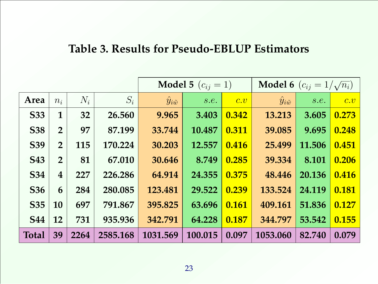### **Table 3. Results for Pseudo-EBLUP Estimators**

|              |                |       | <b>Model 5</b> $(c_{ij} = 1)$ |                         |         | <b>Model 6</b> $(c_{ij} = 1/\sqrt{n_i})$ |                         |        |                  |
|--------------|----------------|-------|-------------------------------|-------------------------|---------|------------------------------------------|-------------------------|--------|------------------|
| Area         | $n_i$          | $N_i$ | $S_i$                         | $\hat{y}_{i \tilde{w}}$ | s.e.    | $\overline{c.v}$                         | $\hat{y}_{i \tilde{w}}$ | s.e.   | $\overline{c.v}$ |
| <b>S33</b>   | $\mathbf{1}$   | 32    | 26.560                        | 9.965                   | 3.403   | 0.342                                    | 13.213                  | 3.605  | 0.273            |
| <b>S38</b>   | $\overline{2}$ | 97    | 87.199                        | 33.744                  | 10.487  | 0.311                                    | 39.085                  | 9.695  | 0.248            |
| <b>S39</b>   | $\overline{2}$ | 115   | 170.224                       | 30.203                  | 12.557  | 0.416                                    | 25.499                  | 11.506 | 0.451            |
| <b>S43</b>   | $\overline{2}$ | 81    | 67.010                        | 30.646                  | 8.749   | 0.285                                    | 39.334                  | 8.101  | 0.206            |
| <b>S34</b>   | $\overline{4}$ | 227   | 226.286                       | 64.914                  | 24.355  | 0.375                                    | 48.446                  | 20.136 | 0.416            |
| <b>S36</b>   | 6              | 284   | 280.085                       | 123.481                 | 29.522  | 0.239                                    | 133.524                 | 24.119 | 0.181            |
| <b>S35</b>   | 10             | 697   | 791.867                       | 395.825                 | 63.696  | 0.161                                    | 409.161                 | 51.836 | 0.127            |
| <b>S44</b>   | 12             | 731   | 935.936                       | 342.791                 | 64.228  | 0.187                                    | 344.797                 | 53.542 | 0.155            |
| <b>Total</b> | 39             | 2264  | 2585.168                      | 1031.569                | 100.015 | 0.097                                    | 1053.060                | 82.740 | 0.079            |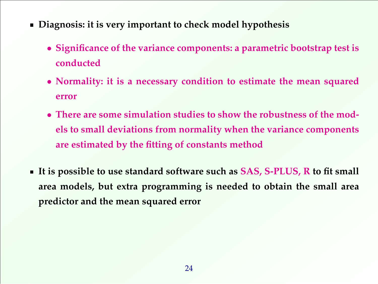- **Diagnosis: it is very important to check model hypothesis**
	- **Significance of the variance components: a parametric bootstrap test is conducted**
	- **Normality: it is a necessary condition to estimate the mean squared error**
	- **There are some simulation studies to show the robustness of the models to small deviations from normality when the variance components are estimated by the fitting of constants method**
- **It is possible to use standard software such as SAS, S-PLUS, R to fit small area models, but extra programming is needed to obtain the small area predictor and the mean squared error**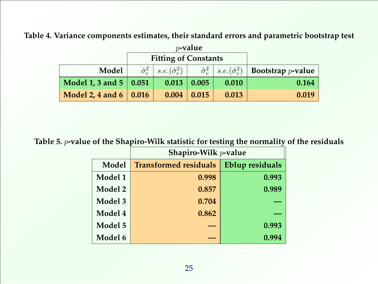**Table 4. Variance components estimates, their standard errors and parametric bootstrap test**

|                            |               | <b>Fitting of Constants</b>                            |       |                                               |                      |
|----------------------------|---------------|--------------------------------------------------------|-------|-----------------------------------------------|----------------------|
| Model                      |               | $\hat{\sigma}_{e}^{2}$   s.e. $(\hat{\sigma}_{e}^{2})$ |       | $\hat{\sigma}_v^2$   $s.e.(\hat{\sigma}_v^2)$ | Bootstrap $p$ -value |
| Model 1, 3 and 5   $0.051$ |               | 0.013                                                  | 0.005 | 0.010                                         | 0.164                |
| Model 2, 4 and 6 $\vert$   | $\vert$ 0.016 | 0.004                                                  | 0.015 | 0.013                                         | 0.019                |

**Table 5.** p**-value of the Shapiro-Wilk statistic for testing the normality of the residuals**

|         | Shapiro-Wilk $p$ -value      |                        |  |  |  |  |
|---------|------------------------------|------------------------|--|--|--|--|
| Model   | <b>Transformed residuals</b> | <b>Eblup residuals</b> |  |  |  |  |
| Model 1 | 0.998                        | 0.993                  |  |  |  |  |
| Model 2 | 0.857                        | 0.989                  |  |  |  |  |
| Model 3 | 0.704                        |                        |  |  |  |  |
| Model 4 | 0.862                        |                        |  |  |  |  |
| Model 5 |                              | 0.993                  |  |  |  |  |
| Model 6 |                              | 0.994                  |  |  |  |  |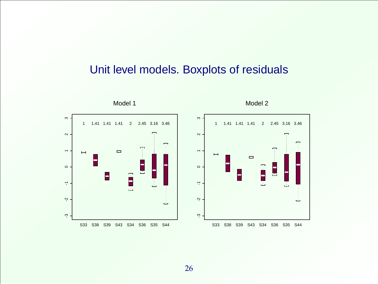### Unit level models. Boxplots of residuals

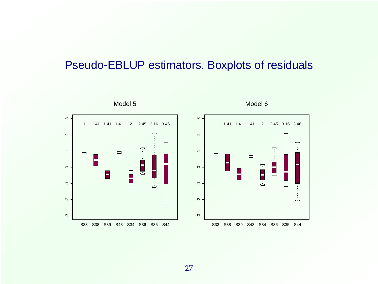### Pseudo-EBLUP estimators. Boxplots of residuals